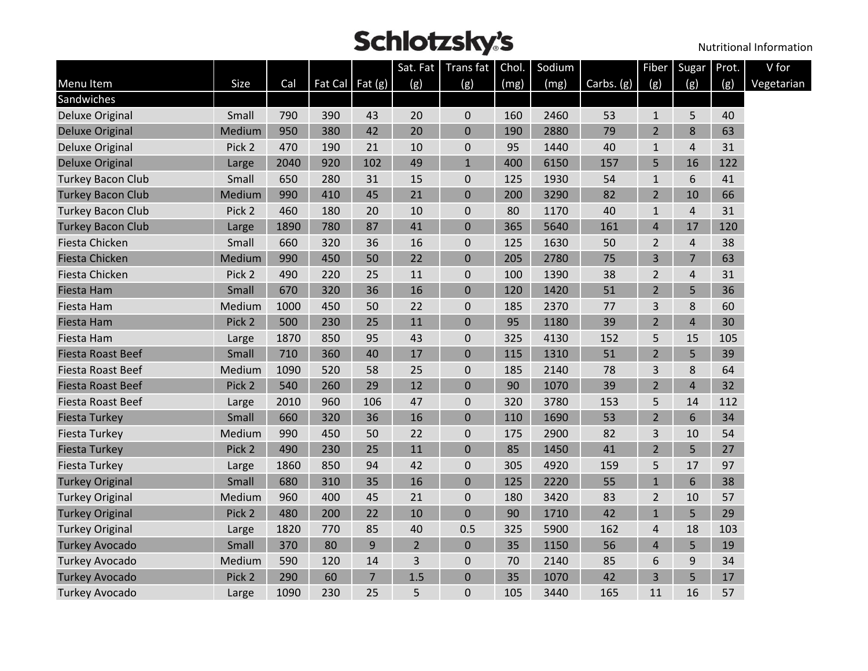|                          |        |      |     |                   | Sat. Fat       | Trans fat      | Chol. | Sodium |            | <b>Fiber</b>   | Sugar          | Prot. | V for      |
|--------------------------|--------|------|-----|-------------------|----------------|----------------|-------|--------|------------|----------------|----------------|-------|------------|
| Menu Item                | Size   | Cal  |     | Fat Cal Fat $(g)$ | (g)            | (g)            | (mg)  | (mg)   | Carbs. (g) | (g)            | (g)            | (g)   | Vegetarian |
| Sandwiches               |        |      |     |                   |                |                |       |        |            |                |                |       |            |
| <b>Deluxe Original</b>   | Small  | 790  | 390 | 43                | 20             | 0              | 160   | 2460   | 53         | $\mathbf 1$    | 5              | 40    |            |
| <b>Deluxe Original</b>   | Medium | 950  | 380 | 42                | 20             | $\mathbf 0$    | 190   | 2880   | 79         | $\overline{2}$ | 8              | 63    |            |
| <b>Deluxe Original</b>   | Pick 2 | 470  | 190 | 21                | 10             | 0              | 95    | 1440   | 40         | $1\,$          | 4              | 31    |            |
| <b>Deluxe Original</b>   | Large  | 2040 | 920 | 102               | 49             | $\mathbf{1}$   | 400   | 6150   | 157        | 5              | 16             | 122   |            |
| <b>Turkey Bacon Club</b> | Small  | 650  | 280 | 31                | 15             | 0              | 125   | 1930   | 54         | $\mathbf{1}$   | 6              | 41    |            |
| <b>Turkey Bacon Club</b> | Medium | 990  | 410 | 45                | 21             | 0              | 200   | 3290   | 82         | $\overline{2}$ | 10             | 66    |            |
| <b>Turkey Bacon Club</b> | Pick 2 | 460  | 180 | 20                | 10             | 0              | 80    | 1170   | 40         | $\mathbf{1}$   | 4              | 31    |            |
| <b>Turkey Bacon Club</b> | Large  | 1890 | 780 | 87                | 41             | $\pmb{0}$      | 365   | 5640   | 161        | $\overline{4}$ | 17             | 120   |            |
| Fiesta Chicken           | Small  | 660  | 320 | 36                | 16             | 0              | 125   | 1630   | 50         | $\overline{2}$ | 4              | 38    |            |
| <b>Fiesta Chicken</b>    | Medium | 990  | 450 | 50                | 22             | $\mathbf 0$    | 205   | 2780   | 75         | 3              | $\overline{7}$ | 63    |            |
| Fiesta Chicken           | Pick 2 | 490  | 220 | 25                | 11             | 0              | 100   | 1390   | 38         | $\overline{2}$ | 4              | 31    |            |
| Fiesta Ham               | Small  | 670  | 320 | 36                | 16             | 0              | 120   | 1420   | 51         | $\overline{2}$ | 5              | 36    |            |
| Fiesta Ham               | Medium | 1000 | 450 | 50                | 22             | 0              | 185   | 2370   | 77         | 3              | 8              | 60    |            |
| Fiesta Ham               | Pick 2 | 500  | 230 | 25                | 11             | $\overline{0}$ | 95    | 1180   | 39         | $\overline{2}$ | 4              | 30    |            |
| Fiesta Ham               | Large  | 1870 | 850 | 95                | 43             | 0              | 325   | 4130   | 152        | 5              | 15             | 105   |            |
| <b>Fiesta Roast Beef</b> | Small  | 710  | 360 | 40                | 17             | $\mathbf 0$    | 115   | 1310   | 51         | $\overline{2}$ | 5              | 39    |            |
| <b>Fiesta Roast Beef</b> | Medium | 1090 | 520 | 58                | 25             | 0              | 185   | 2140   | 78         | 3              | 8              | 64    |            |
| <b>Fiesta Roast Beef</b> | Pick 2 | 540  | 260 | 29                | 12             | 0              | 90    | 1070   | 39         | $\overline{2}$ | $\overline{4}$ | 32    |            |
| Fiesta Roast Beef        | Large  | 2010 | 960 | 106               | 47             | 0              | 320   | 3780   | 153        | 5              | 14             | 112   |            |
| <b>Fiesta Turkey</b>     | Small  | 660  | 320 | 36                | 16             | 0              | 110   | 1690   | 53         | $\overline{2}$ | 6              | 34    |            |
| <b>Fiesta Turkey</b>     | Medium | 990  | 450 | 50                | 22             | 0              | 175   | 2900   | 82         | 3              | 10             | 54    |            |
| <b>Fiesta Turkey</b>     | Pick 2 | 490  | 230 | 25                | 11             | 0              | 85    | 1450   | 41         | $\overline{2}$ | 5              | 27    |            |
| <b>Fiesta Turkey</b>     | Large  | 1860 | 850 | 94                | 42             | 0              | 305   | 4920   | 159        | 5              | 17             | 97    |            |
| <b>Turkey Original</b>   | Small  | 680  | 310 | 35                | 16             | $\mathbf 0$    | 125   | 2220   | 55         | $\mathbf{1}$   | 6              | 38    |            |
| <b>Turkey Original</b>   | Medium | 960  | 400 | 45                | 21             | 0              | 180   | 3420   | 83         | $\overline{2}$ | 10             | 57    |            |
| <b>Turkey Original</b>   | Pick 2 | 480  | 200 | 22                | 10             | $\Omega$       | 90    | 1710   | 42         | $\mathbf{1}$   | 5              | 29    |            |
| <b>Turkey Original</b>   | Large  | 1820 | 770 | 85                | 40             | 0.5            | 325   | 5900   | 162        | 4              | 18             | 103   |            |
| <b>Turkey Avocado</b>    | Small  | 370  | 80  | 9                 | $\overline{2}$ | 0              | 35    | 1150   | 56         | $\overline{4}$ | 5              | 19    |            |
| Turkey Avocado           | Medium | 590  | 120 | 14                | 3              | 0              | 70    | 2140   | 85         | 6              | 9              | 34    |            |
| <b>Turkey Avocado</b>    | Pick 2 | 290  | 60  | $\overline{7}$    | 1.5            | $\pmb{0}$      | 35    | 1070   | 42         | 3              | 5              | 17    |            |
| <b>Turkey Avocado</b>    | Large  | 1090 | 230 | 25                | 5              | 0              | 105   | 3440   | 165        | 11             | 16             | 57    |            |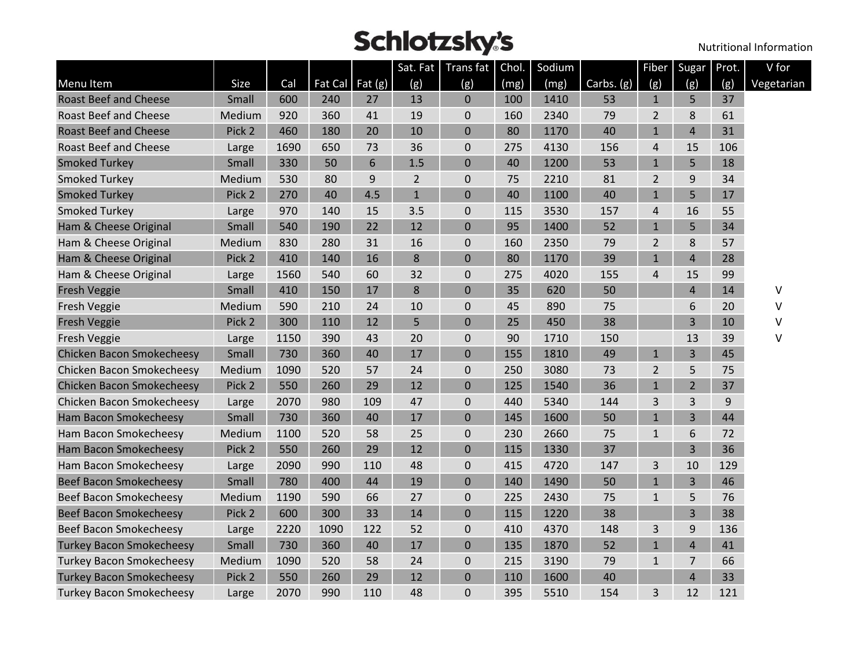|                                  |        |      |         |           |                | Sat. Fat   Trans fat   Chol. |      | Sodium |            | Fiber          | Sugar          | Prot. | V for      |
|----------------------------------|--------|------|---------|-----------|----------------|------------------------------|------|--------|------------|----------------|----------------|-------|------------|
| <b>Menu Item</b>                 | Size   | Cal  | Fat Cal | Fat $(g)$ | (g)            | (g)                          | (mg) | (mg)   | Carbs. (g) | (g)            | (g)            | (g)   | Vegetarian |
| <b>Roast Beef and Cheese</b>     | Small  | 600  | 240     | 27        | 13             | $\mathbf{0}$                 | 100  | 1410   | 53         | $\mathbf{1}$   | 5              | 37    |            |
| <b>Roast Beef and Cheese</b>     | Medium | 920  | 360     | 41        | 19             | $\boldsymbol{0}$             | 160  | 2340   | 79         | $\overline{2}$ | 8              | 61    |            |
| <b>Roast Beef and Cheese</b>     | Pick 2 | 460  | 180     | 20        | 10             | $\mathbf 0$                  | 80   | 1170   | 40         | $\mathbf{1}$   | $\overline{4}$ | 31    |            |
| <b>Roast Beef and Cheese</b>     | Large  | 1690 | 650     | 73        | 36             | $\mathbf 0$                  | 275  | 4130   | 156        | 4              | 15             | 106   |            |
| <b>Smoked Turkey</b>             | Small  | 330  | 50      | 6         | 1.5            | $\mathbf 0$                  | 40   | 1200   | 53         | $\mathbf{1}$   | 5              | 18    |            |
| <b>Smoked Turkey</b>             | Medium | 530  | 80      | 9         | $\overline{2}$ | $\boldsymbol{0}$             | 75   | 2210   | 81         | 2              | 9              | 34    |            |
| <b>Smoked Turkey</b>             | Pick 2 | 270  | 40      | 4.5       | $\mathbf{1}$   | $\mathbf 0$                  | 40   | 1100   | 40         | $\mathbf{1}$   | 5              | 17    |            |
| <b>Smoked Turkey</b>             | Large  | 970  | 140     | 15        | 3.5            | $\mathbf 0$                  | 115  | 3530   | 157        | 4              | 16             | 55    |            |
| Ham & Cheese Original            | Small  | 540  | 190     | 22        | 12             | $\mathbf 0$                  | 95   | 1400   | 52         | $\mathbf{1}$   | 5              | 34    |            |
| Ham & Cheese Original            | Medium | 830  | 280     | 31        | 16             | $\boldsymbol{0}$             | 160  | 2350   | 79         | $\overline{2}$ | 8              | 57    |            |
| Ham & Cheese Original            | Pick 2 | 410  | 140     | 16        | 8              | $\mathbf 0$                  | 80   | 1170   | 39         | $\mathbf{1}$   | $\overline{4}$ | 28    |            |
| Ham & Cheese Original            | Large  | 1560 | 540     | 60        | 32             | 0                            | 275  | 4020   | 155        | 4              | 15             | 99    |            |
| <b>Fresh Veggie</b>              | Small  | 410  | 150     | 17        | 8              | $\mathbf 0$                  | 35   | 620    | 50         |                | 4              | 14    | ٧          |
| Fresh Veggie                     | Medium | 590  | 210     | 24        | 10             | $\boldsymbol{0}$             | 45   | 890    | 75         |                | 6              | 20    | V          |
| <b>Fresh Veggie</b>              | Pick 2 | 300  | 110     | 12        | 5              | $\mathbf 0$                  | 25   | 450    | 38         |                | 3              | 10    | v          |
| Fresh Veggie                     | Large  | 1150 | 390     | 43        | 20             | 0                            | 90   | 1710   | 150        |                | 13             | 39    | v          |
| <b>Chicken Bacon Smokecheesy</b> | Small  | 730  | 360     | 40        | 17             | $\mathbf 0$                  | 155  | 1810   | 49         | $\mathbf{1}$   | 3              | 45    |            |
| Chicken Bacon Smokecheesy        | Medium | 1090 | 520     | 57        | 24             | $\mathbf 0$                  | 250  | 3080   | 73         | $\overline{2}$ | 5              | 75    |            |
| <b>Chicken Bacon Smokecheesy</b> | Pick 2 | 550  | 260     | 29        | 12             | $\Omega$                     | 125  | 1540   | 36         | $\mathbf{1}$   | $\overline{2}$ | 37    |            |
| Chicken Bacon Smokecheesy        | Large  | 2070 | 980     | 109       | 47             | $\boldsymbol{0}$             | 440  | 5340   | 144        | 3              | 3              | 9     |            |
| Ham Bacon Smokecheesy            | Small  | 730  | 360     | 40        | 17             | $\mathbf 0$                  | 145  | 1600   | 50         | $\mathbf{1}$   | 3              | 44    |            |
| Ham Bacon Smokecheesy            | Medium | 1100 | 520     | 58        | 25             | $\mathbf 0$                  | 230  | 2660   | 75         | $\mathbf{1}$   | 6              | 72    |            |
| Ham Bacon Smokecheesy            | Pick 2 | 550  | 260     | 29        | 12             | $\mathbf 0$                  | 115  | 1330   | 37         |                | 3              | 36    |            |
| Ham Bacon Smokecheesy            | Large  | 2090 | 990     | 110       | 48             | $\boldsymbol{0}$             | 415  | 4720   | 147        | 3              | 10             | 129   |            |
| <b>Beef Bacon Smokecheesy</b>    | Small  | 780  | 400     | 44        | 19             | $\mathbf 0$                  | 140  | 1490   | 50         | $\mathbf{1}$   | 3              | 46    |            |
| Beef Bacon Smokecheesy           | Medium | 1190 | 590     | 66        | 27             | $\mathbf 0$                  | 225  | 2430   | 75         | $\mathbf{1}$   | 5              | 76    |            |
| <b>Beef Bacon Smokecheesy</b>    | Pick 2 | 600  | 300     | 33        | 14             | $\Omega$                     | 115  | 1220   | 38         |                | 3              | 38    |            |
| Beef Bacon Smokecheesy           | Large  | 2220 | 1090    | 122       | 52             | $\boldsymbol{0}$             | 410  | 4370   | 148        | 3              | 9              | 136   |            |
| <b>Turkey Bacon Smokecheesy</b>  | Small  | 730  | 360     | 40        | 17             | $\mathbf 0$                  | 135  | 1870   | 52         | $\mathbf{1}$   | 4              | 41    |            |
| <b>Turkey Bacon Smokecheesy</b>  | Medium | 1090 | 520     | 58        | 24             | 0                            | 215  | 3190   | 79         | $\mathbf{1}$   | 7              | 66    |            |
| <b>Turkey Bacon Smokecheesy</b>  | Pick 2 | 550  | 260     | 29        | 12             | $\mathbf 0$                  | 110  | 1600   | 40         |                | $\overline{4}$ | 33    |            |
| <b>Turkey Bacon Smokecheesy</b>  | Large  | 2070 | 990     | 110       | 48             | $\mathbf 0$                  | 395  | 5510   | 154        | 3              | 12             | 121   |            |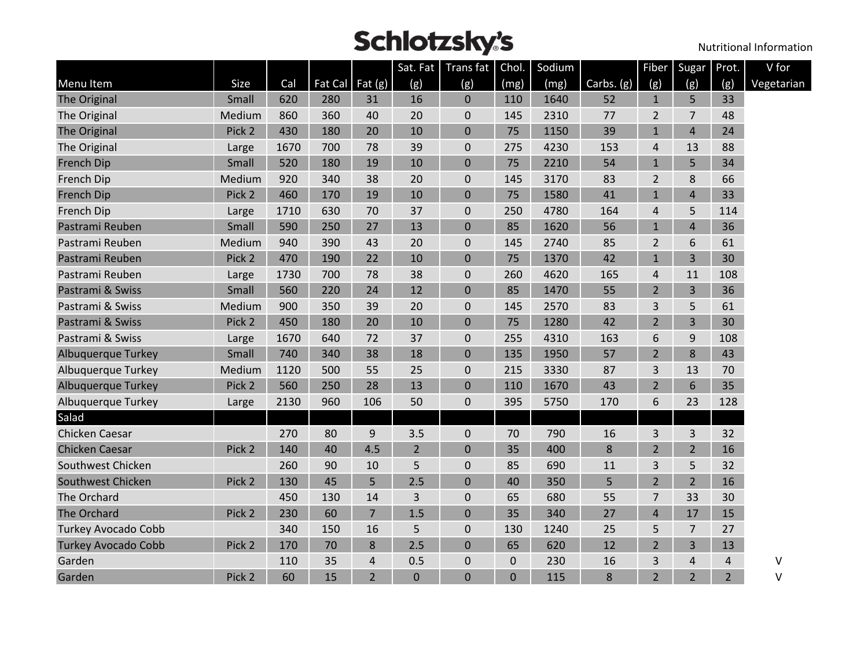|                            |        |      |     |                         | Sat. Fat       | Trans fat Chol. |             | Sodium |            | <b>Fiber</b>   | Sugar          | Prot.          | V for      |
|----------------------------|--------|------|-----|-------------------------|----------------|-----------------|-------------|--------|------------|----------------|----------------|----------------|------------|
| Menu Item                  | Size   | Cal  |     | Fat Cal $\vert$ Fat (g) | (g)            | (g)             | (mg)        | (mg)   | Carbs. (g) | (g)            | (g)            | (g)            | Vegetarian |
| The Original               | Small  | 620  | 280 | 31                      | 16             | $\mathbf 0$     | 110         | 1640   | 52         | $\mathbf{1}$   | 5              | 33             |            |
| The Original               | Medium | 860  | 360 | 40                      | 20             | $\mathbf 0$     | 145         | 2310   | 77         | $\overline{2}$ | 7              | 48             |            |
| The Original               | Pick 2 | 430  | 180 | 20                      | 10             | $\mathbf 0$     | 75          | 1150   | 39         | $\mathbf{1}$   | $\overline{4}$ | 24             |            |
| The Original               | Large  | 1670 | 700 | 78                      | 39             | $\mathbf 0$     | 275         | 4230   | 153        | 4              | 13             | 88             |            |
| French Dip                 | Small  | 520  | 180 | 19                      | 10             | $\mathbf 0$     | 75          | 2210   | 54         | $\mathbf{1}$   | 5              | 34             |            |
| French Dip                 | Medium | 920  | 340 | 38                      | 20             | $\mathbf 0$     | 145         | 3170   | 83         | $\overline{2}$ | 8              | 66             |            |
| French Dip                 | Pick 2 | 460  | 170 | 19                      | 10             | $\mathbf 0$     | 75          | 1580   | 41         | $\mathbf{1}$   | 4              | 33             |            |
| French Dip                 | Large  | 1710 | 630 | 70                      | 37             | $\pmb{0}$       | 250         | 4780   | 164        | $\overline{4}$ | 5              | 114            |            |
| Pastrami Reuben            | Small  | 590  | 250 | 27                      | 13             | $\mathbf 0$     | 85          | 1620   | 56         | $\mathbf{1}$   | 4              | 36             |            |
| Pastrami Reuben            | Medium | 940  | 390 | 43                      | 20             | $\mathbf 0$     | 145         | 2740   | 85         | $\overline{2}$ | 6              | 61             |            |
| Pastrami Reuben            | Pick 2 | 470  | 190 | 22                      | 10             | $\mathbf 0$     | 75          | 1370   | 42         | $\mathbf{1}$   | 3              | 30             |            |
| Pastrami Reuben            | Large  | 1730 | 700 | 78                      | 38             | $\pmb{0}$       | 260         | 4620   | 165        | $\overline{4}$ | 11             | 108            |            |
| Pastrami & Swiss           | Small  | 560  | 220 | 24                      | 12             | $\mathbf 0$     | 85          | 1470   | 55         | $\overline{2}$ | 3              | 36             |            |
| Pastrami & Swiss           | Medium | 900  | 350 | 39                      | 20             | $\pmb{0}$       | 145         | 2570   | 83         | 3              | 5              | 61             |            |
| Pastrami & Swiss           | Pick 2 | 450  | 180 | 20                      | 10             | $\mathbf 0$     | 75          | 1280   | 42         | $\overline{2}$ | 3              | 30             |            |
| Pastrami & Swiss           | Large  | 1670 | 640 | 72                      | 37             | $\pmb{0}$       | 255         | 4310   | 163        | 6              | 9              | 108            |            |
| Albuquerque Turkey         | Small  | 740  | 340 | 38                      | 18             | $\mathbf 0$     | 135         | 1950   | 57         | $\overline{2}$ | 8              | 43             |            |
| Albuquerque Turkey         | Medium | 1120 | 500 | 55                      | 25             | $\mathbf 0$     | 215         | 3330   | 87         | 3              | 13             | 70             |            |
| Albuquerque Turkey         | Pick 2 | 560  | 250 | 28                      | 13             | $\mathbf 0$     | 110         | 1670   | 43         | $\overline{2}$ | 6              | 35             |            |
| Albuquerque Turkey         | Large  | 2130 | 960 | 106                     | 50             | $\mathbf 0$     | 395         | 5750   | 170        | 6              | 23             | 128            |            |
| Salad                      |        |      |     |                         |                |                 |             |        |            |                |                |                |            |
| Chicken Caesar             |        | 270  | 80  | 9                       | 3.5            | $\mathbf 0$     | 70          | 790    | 16         | 3              | 3              | 32             |            |
| <b>Chicken Caesar</b>      | Pick 2 | 140  | 40  | 4.5                     | $\overline{2}$ | $\mathbf 0$     | 35          | 400    | $\bf 8$    | $\overline{2}$ | $\overline{2}$ | 16             |            |
| Southwest Chicken          |        | 260  | 90  | 10                      | 5              | $\mathbf 0$     | 85          | 690    | 11         | 3              | 5              | 32             |            |
| Southwest Chicken          | Pick 2 | 130  | 45  | 5                       | 2.5            | $\mathbf 0$     | 40          | 350    | 5          | $\overline{2}$ | $\overline{2}$ | 16             |            |
| The Orchard                |        | 450  | 130 | 14                      | 3              | $\pmb{0}$       | 65          | 680    | 55         | $\overline{7}$ | 33             | 30             |            |
| The Orchard                | Pick 2 | 230  | 60  | $\overline{7}$          | 1.5            | $\mathbf 0$     | 35          | 340    | 27         | $\overline{4}$ | 17             | 15             |            |
| <b>Turkey Avocado Cobb</b> |        | 340  | 150 | 16                      | 5              | $\mathbf 0$     | 130         | 1240   | 25         | 5              | 7              | 27             |            |
| <b>Turkey Avocado Cobb</b> | Pick 2 | 170  | 70  | 8                       | 2.5            | $\Omega$        | 65          | 620    | 12         | $\overline{2}$ | 3              | 13             |            |
| Garden                     |        | 110  | 35  | 4                       | 0.5            | $\mathbf 0$     | $\mathbf 0$ | 230    | 16         | 3              | 4              | 4              | ٧          |
| Garden                     | Pick 2 | 60   | 15  | $\overline{2}$          | 0              | $\Omega$        | $\Omega$    | 115    | 8          | $\overline{2}$ | $\overline{2}$ | $\overline{2}$ | V          |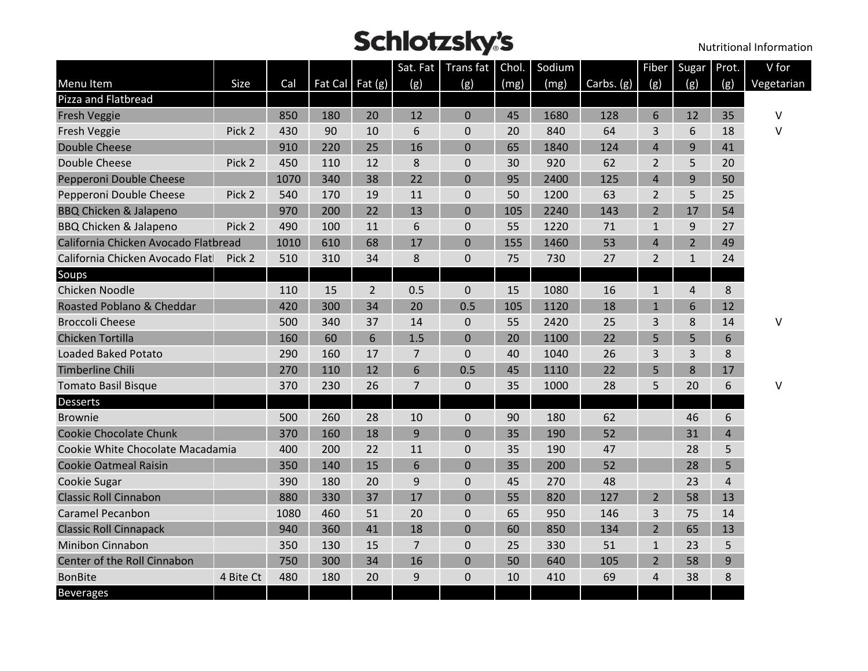|                                      |           |      |                 |                |                | Sat. Fat   Trans fat | Chol. | Sodium |            | Fiber          | Sugar          | Prot.          | V for      |
|--------------------------------------|-----------|------|-----------------|----------------|----------------|----------------------|-------|--------|------------|----------------|----------------|----------------|------------|
| Menu Item                            | Size      | Cal  | Fat Cal Fat (g) |                | (g)            | (g)                  | (mg)  | (mg)   | Carbs. (g) | (g)            | (g)            | (g)            | Vegetarian |
| Pizza and Flatbread                  |           |      |                 |                |                |                      |       |        |            |                |                |                |            |
| <b>Fresh Veggie</b>                  |           | 850  | 180             | 20             | 12             | $\mathbf{0}$         | 45    | 1680   | 128        | 6              | 12             | 35             | V          |
| Fresh Veggie                         | Pick 2    | 430  | 90              | 10             | 6              | $\mathbf 0$          | 20    | 840    | 64         | 3              | 6              | 18             | V          |
| <b>Double Cheese</b>                 |           | 910  | 220             | 25             | 16             | $\Omega$             | 65    | 1840   | 124        | $\overline{4}$ | 9              | 41             |            |
| Double Cheese                        | Pick 2    | 450  | 110             | 12             | 8              | $\pmb{0}$            | 30    | 920    | 62         | 2              | 5              | 20             |            |
| Pepperoni Double Cheese              |           | 1070 | 340             | 38             | 22             | $\mathbf 0$          | 95    | 2400   | 125        | $\overline{4}$ | 9              | 50             |            |
| Pepperoni Double Cheese              | Pick 2    | 540  | 170             | 19             | 11             | $\mathbf 0$          | 50    | 1200   | 63         | 2              | 5              | 25             |            |
| <b>BBQ Chicken &amp; Jalapeno</b>    |           | 970  | 200             | 22             | 13             | $\mathbf 0$          | 105   | 2240   | 143        | $\overline{2}$ | 17             | 54             |            |
| <b>BBQ Chicken &amp; Jalapeno</b>    | Pick 2    | 490  | 100             | 11             | 6              | $\mathbf 0$          | 55    | 1220   | 71         | $\mathbf{1}$   | 9              | 27             |            |
| California Chicken Avocado Flatbread |           | 1010 | 610             | 68             | 17             | $\mathbf{0}$         | 155   | 1460   | 53         | $\overline{4}$ | $\overline{2}$ | 49             |            |
| California Chicken Avocado Flat      | Pick 2    | 510  | 310             | 34             | 8              | $\mathbf 0$          | 75    | 730    | 27         | $\overline{2}$ | $\mathbf{1}$   | 24             |            |
| Soups                                |           |      |                 |                |                |                      |       |        |            |                |                |                |            |
| Chicken Noodle                       |           | 110  | 15              | $\overline{2}$ | 0.5            | $\pmb{0}$            | 15    | 1080   | 16         | $\mathbf{1}$   | 4              | 8              |            |
| Roasted Poblano & Cheddar            |           | 420  | 300             | 34             | 20             | 0.5                  | 105   | 1120   | 18         | $\mathbf{1}$   | 6              | 12             |            |
| <b>Broccoli Cheese</b>               |           | 500  | 340             | 37             | 14             | $\pmb{0}$            | 55    | 2420   | 25         | 3              | 8              | 14             | ٧          |
| <b>Chicken Tortilla</b>              |           | 160  | 60              | 6              | 1.5            | $\mathbf 0$          | 20    | 1100   | 22         | 5              | 5              | 6              |            |
| <b>Loaded Baked Potato</b>           |           | 290  | 160             | 17             | 7              | $\mathbf 0$          | 40    | 1040   | 26         | 3              | 3              | 8              |            |
| <b>Timberline Chili</b>              |           | 270  | 110             | 12             | 6              | 0.5                  | 45    | 1110   | 22         | 5              | 8              | 17             |            |
| <b>Tomato Basil Bisque</b>           |           | 370  | 230             | 26             | $\overline{7}$ | $\pmb{0}$            | 35    | 1000   | 28         | 5              | 20             | 6              | V          |
| <b>Desserts</b>                      |           |      |                 |                |                |                      |       |        |            |                |                |                |            |
| <b>Brownie</b>                       |           | 500  | 260             | 28             | 10             | 0                    | 90    | 180    | 62         |                | 46             | 6              |            |
| <b>Cookie Chocolate Chunk</b>        |           | 370  | 160             | 18             | 9              | $\mathbf 0$          | 35    | 190    | 52         |                | 31             | $\overline{4}$ |            |
| Cookie White Chocolate Macadamia     |           | 400  | 200             | 22             | 11             | $\mathbf 0$          | 35    | 190    | 47         |                | 28             | 5              |            |
| <b>Cookie Oatmeal Raisin</b>         |           | 350  | 140             | 15             | 6              | $\pmb{0}$            | 35    | 200    | 52         |                | 28             | 5              |            |
| Cookie Sugar                         |           | 390  | 180             | 20             | 9              | $\pmb{0}$            | 45    | 270    | 48         |                | 23             | 4              |            |
| <b>Classic Roll Cinnabon</b>         |           | 880  | 330             | 37             | 17             | $\mathbf 0$          | 55    | 820    | 127        | $\overline{2}$ | 58             | 13             |            |
| <b>Caramel Pecanbon</b>              |           | 1080 | 460             | 51             | 20             | $\mathbf 0$          | 65    | 950    | 146        | 3              | 75             | 14             |            |
| <b>Classic Roll Cinnapack</b>        |           | 940  | 360             | 41             | 18             | $\mathbf 0$          | 60    | 850    | 134        | $\overline{2}$ | 65             | 13             |            |
| Minibon Cinnabon                     |           | 350  | 130             | 15             | 7              | $\mathbf 0$          | 25    | 330    | 51         | $\mathbf{1}$   | 23             | 5              |            |
| Center of the Roll Cinnabon          |           | 750  | 300             | 34             | 16             | $\Omega$             | 50    | 640    | 105        | $\overline{2}$ | 58             | 9              |            |
| <b>BonBite</b>                       | 4 Bite Ct | 480  | 180             | 20             | 9              | $\mathbf 0$          | 10    | 410    | 69         | 4              | 38             | 8              |            |
| <b>Beverages</b>                     |           |      |                 |                |                |                      |       |        |            |                |                |                |            |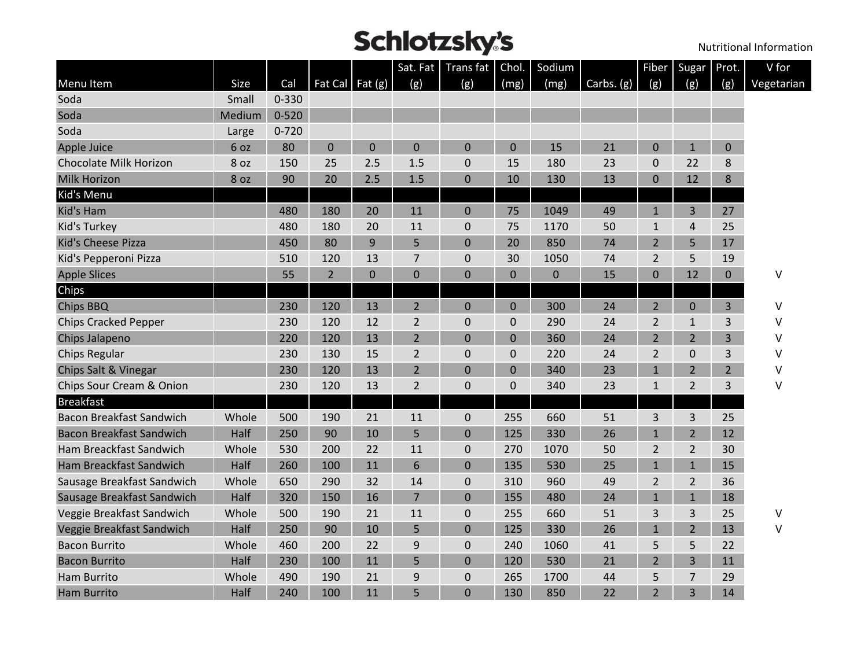|                                 |                 |           |                |                   | Sat. Fat       | <b>Transfat</b> | Chol.          | Sodium       |            |                | Fiber Sugar Prot. |                | V for      |
|---------------------------------|-----------------|-----------|----------------|-------------------|----------------|-----------------|----------------|--------------|------------|----------------|-------------------|----------------|------------|
| Menu Item                       | Size            | Cal       |                | Fat Cal Fat $(g)$ | (g)            | (g)             | (mg)           | (mg)         | Carbs. (g) | (g)            | (ջ)               | (g)            | Vegetarian |
| Soda                            | Small           | $0 - 330$ |                |                   |                |                 |                |              |            |                |                   |                |            |
| Soda                            | Medium          | $0 - 520$ |                |                   |                |                 |                |              |            |                |                   |                |            |
| Soda                            | Large           | $0 - 720$ |                |                   |                |                 |                |              |            |                |                   |                |            |
| Apple Juice                     | 6 oz            | 80        | $\mathbf 0$    | $\mathbf 0$       | $\mathbf 0$    | 0               | $\mathbf 0$    | 15           | 21         | $\mathbf 0$    | $\mathbf{1}$      | 0              |            |
| Chocolate Milk Horizon          | 8 <sub>oz</sub> | 150       | 25             | 2.5               | 1.5            | 0               | 15             | 180          | 23         | $\mathbf 0$    | 22                | 8              |            |
| <b>Milk Horizon</b>             | 8 oz            | 90        | 20             | 2.5               | 1.5            | 0               | 10             | 130          | 13         | 0              | 12                | 8              |            |
| Kid's Menu                      |                 |           |                |                   |                |                 |                |              |            |                |                   |                |            |
| Kid's Ham                       |                 | 480       | 180            | 20                | 11             | $\mathbf{0}$    | 75             | 1049         | 49         | $\mathbf{1}$   | 3                 | 27             |            |
| Kid's Turkey                    |                 | 480       | 180            | 20                | 11             | $\mathbf{0}$    | 75             | 1170         | 50         | $\mathbf{1}$   | 4                 | 25             |            |
| Kid's Cheese Pizza              |                 | 450       | 80             | 9                 | 5              | $\overline{0}$  | 20             | 850          | 74         | $\overline{2}$ | 5                 | 17             |            |
| Kid's Pepperoni Pizza           |                 | 510       | 120            | 13                | $\overline{7}$ | 0               | 30             | 1050         | 74         | $\overline{2}$ | 5                 | 19             |            |
| <b>Apple Slices</b>             |                 | 55        | $\overline{2}$ | $\overline{0}$    | $\overline{0}$ | $\overline{0}$  | $\overline{0}$ | $\mathbf{0}$ | 15         | $\mathbf 0$    | 12                | $\overline{0}$ | V          |
| Chips                           |                 |           |                |                   |                |                 |                |              |            |                |                   |                |            |
| <b>Chips BBQ</b>                |                 | 230       | 120            | 13                | $\overline{2}$ | 0               | $\mathbf 0$    | 300          | 24         | $\overline{2}$ | $\mathbf{0}$      | 3              | V          |
| <b>Chips Cracked Pepper</b>     |                 | 230       | 120            | 12                | $\overline{2}$ | 0               | 0              | 290          | 24         | 2              | $\mathbf{1}$      | 3              | v          |
| Chips Jalapeno                  |                 | 220       | 120            | 13                | $\overline{2}$ | 0               | 0              | 360          | 24         | $\overline{2}$ | $\overline{2}$    | $\overline{3}$ | v          |
| <b>Chips Regular</b>            |                 | 230       | 130            | 15                | $\overline{2}$ | 0               | $\mathbf 0$    | 220          | 24         | $\overline{2}$ | 0                 | 3              | v          |
| Chips Salt & Vinegar            |                 | 230       | 120            | 13                | $\overline{2}$ | $\overline{0}$  | $\mathbf 0$    | 340          | 23         | $\mathbf{1}$   | $\overline{2}$    | $\overline{2}$ | v          |
| Chips Sour Cream & Onion        |                 | 230       | 120            | 13                | $\overline{2}$ | 0               | $\mathbf 0$    | 340          | 23         | $\mathbf{1}$   | $\overline{2}$    | 3              | V          |
| <b>Breakfast</b>                |                 |           |                |                   |                |                 |                |              |            |                |                   |                |            |
| <b>Bacon Breakfast Sandwich</b> | Whole           | 500       | 190            | 21                | 11             | 0               | 255            | 660          | 51         | 3              | 3                 | 25             |            |
| <b>Bacon Breakfast Sandwich</b> | Half            | 250       | 90             | 10                | 5              | $\overline{0}$  | 125            | 330          | 26         | $\mathbf{1}$   | $\overline{2}$    | 12             |            |
| Ham Breackfast Sandwich         | Whole           | 530       | 200            | 22                | 11             | 0               | 270            | 1070         | 50         | $\overline{2}$ | $\overline{2}$    | 30             |            |
| Ham Breackfast Sandwich         | Half            | 260       | 100            | 11                | 6              | $\overline{0}$  | 135            | 530          | 25         | $\mathbf{1}$   | $\mathbf{1}$      | 15             |            |
| Sausage Breakfast Sandwich      | Whole           | 650       | 290            | 32                | 14             | 0               | 310            | 960          | 49         | $\overline{2}$ | $\overline{2}$    | 36             |            |
| Sausage Breakfast Sandwich      | Half            | 320       | 150            | 16                | $\overline{7}$ | $\overline{0}$  | 155            | 480          | 24         | $\mathbf{1}$   | $\mathbf{1}$      | 18             |            |
| Veggie Breakfast Sandwich       | Whole           | 500       | 190            | 21                | 11             | 0               | 255            | 660          | 51         | 3              | 3                 | 25             | v          |
| Veggie Breakfast Sandwich       | Half            | 250       | 90             | 10                | 5              | 0               | 125            | 330          | 26         | $\mathbf{1}$   | $\overline{2}$    | 13             | V          |
| <b>Bacon Burrito</b>            | Whole           | 460       | 200            | 22                | 9              | 0               | 240            | 1060         | 41         | 5              | 5                 | 22             |            |
| <b>Bacon Burrito</b>            | Half            | 230       | 100            | 11                | 5              | 0               | 120            | 530          | 21         | $\overline{2}$ | 3                 | 11             |            |
| Ham Burrito                     | Whole           | 490       | 190            | 21                | 9              | 0               | 265            | 1700         | 44         | 5              | 7                 | 29             |            |
| <b>Ham Burrito</b>              | Half            | 240       | 100            | 11                | 5              | 0               | 130            | 850          | 22         | $\overline{2}$ | 3                 | 14             |            |